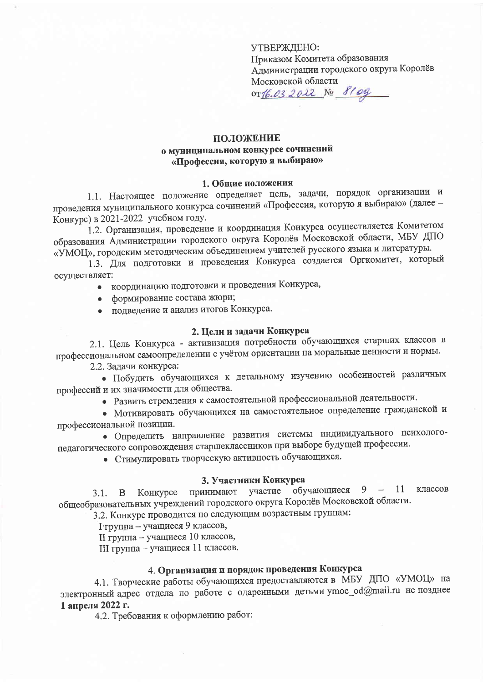УТВЕРЖДЕНО: Приказом Комитета образования Администрации городского округа Королёв Московской области or16.032022 No 810g

## ПОЛОЖЕНИЕ о муниципальном конкурсе сочинений «Профессия, которую я выбираю»

### 1. Общие положения

1.1. Настоящее положение определяет цель, задачи, порядок организации и проведения муниципального конкурса сочинений «Профессия, которую я выбираю» (далее -Конкурс) в 2021-2022 учебном году.

1.2. Организация, проведение и координация Конкурса осуществляется Комитетом образования Администрации городского округа Королёв Московской области, МБУ ДПО «УМОЦ», городским методическим объединением учителей русского языка и литературы.

1.3. Для подготовки и проведения Конкурса создается Оргкомитет, который осуществляет:

- координацию подготовки и проведения Конкурса,
- формирование состава жюри;
- подведение и анализ итогов Конкурса.

#### 2. Цели и задачи Конкурса

2.1. Цель Конкурса - активизация потребности обучающихся старших классов в профессиональном самоопределении с учётом ориентации на моральные ценности и нормы.

2.2. Задачи конкурса:

• Побудить обучающихся к детальному изучению особенностей различных профессий и их значимости для общества.

• Развить стремления к самостоятельной профессиональной деятельности.

• Мотивировать обучающихся на самостоятельное определение гражданской и профессиональной позиции.

• Определить направление развития системы индивидуального психологопедагогического сопровождения старшеклассников при выборе будущей профессии.

• Стимулировать творческую активность обучающихся.

#### 3. Участники Конкурса

принимают участие обучающиеся 9 - 11 классов Конкурсе  $3.1. \quad B$ общеобразовательных учреждений городского округа Королёв Московской области.

3.2. Конкурс проводится по следующим возрастным группам:

І труппа - учащиеся 9 классов,

II группа - учащиеся 10 классов,

III группа - учащиеся 11 классов.

## 4. Организация и порядок проведения Конкурса

4.1. Творческие работы обучающихся предоставляются в МБУ ДПО «УМОЦ» на электронный адрес отдела по работе с одаренными детьми ymoc\_od@mail.ru не позднее 1 апреля 2022 г.

4.2. Требования к оформлению работ: